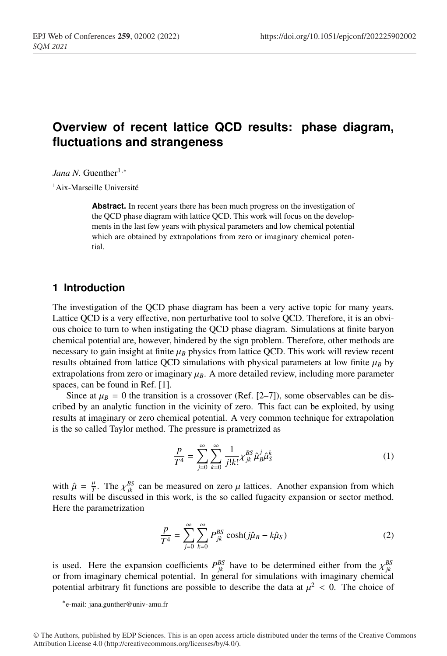# **Overview of recent lattice QCD results: phase diagram, fluctuations and strangeness**

*Jana N.* Guenther<sup>1,\*</sup>

1Aix-Marseille Université

**Abstract.** In recent years there has been much progress on the investigation of the QCD phase diagram with lattice QCD. This work will focus on the developments in the last few years with physical parameters and low chemical potential which are obtained by extrapolations from zero or imaginary chemical potential.

## **1 Introduction**

The investigation of the QCD phase diagram has been a very active topic for many years. Lattice QCD is a very effective, non perturbative tool to solve QCD. Therefore, it is an obvious choice to turn to when instigating the QCD phase diagram. Simulations at finite baryon chemical potential are, however, hindered by the sign problem. Therefore, other methods are necessary to gain insight at finite  $\mu_B$  physics from lattice QCD. This work will review recent results obtained from lattice QCD simulations with physical parameters at low finite  $\mu_B$  by extrapolations from zero or imaginary  $\mu_B$ . A more detailed review, including more parameter spaces, can be found in Ref. [1].

Since at  $\mu_B = 0$  the transition is a crossover (Ref. [2–7]), some observables can be discribed by an analytic function in the vicinity of zero. This fact can be exploited, by using results at imaginary or zero chemical potential. A very common technique for extrapolation is the so called Taylor method. The pressure is prametrized as

$$
\frac{p}{T^4} = \sum_{j=0}^{\infty} \sum_{k=0}^{\infty} \frac{1}{j!k!} \chi_{jk}^{BS} \hat{\mu}_{jk}^j \hat{\mu}_{S}^k \tag{1}
$$

with  $\hat{\mu} = \frac{\mu}{T}$ . The  $\chi_{jk}^{BS}$  can be measured on zero  $\mu$  lattices. Another expansion from which results will be discussed in this work, is the so called fugacity expansion or sector method. Here the parametrization

$$
\frac{p}{T^4} = \sum_{j=0}^{\infty} \sum_{k=0}^{\infty} P_{jk}^{BS} \cosh(j\hat{\mu}_B - k\hat{\mu}_S)
$$
 (2)

is used. Here the expansion coefficients  $P_{jk}^{BS}$  have to be determined either from the  $\chi_{jk}^{BS}$ or from imaginary chemical potential. In general for simulations with imaginary chemical potential arbitrary fit functions are possible to describe the data at  $\mu^2 < 0$ . The choice of

<sup>∗</sup>e-mail: jana.gunther@univ-amu.fr

<sup>©</sup> The Authors, published by EDP Sciences. This is an open access article distributed under the terms of the Creative Commons Attribution License 4.0 (http://creativecommons.org/licenses/by/4.0/).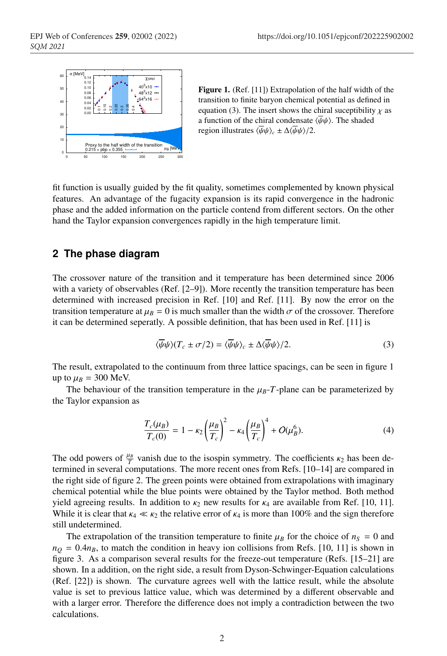

Figure 1. (Ref. [11]) Extrapolation of the half width of the transition to finite baryon chemical potential as defined in equation (3). The insert shows the chiral suceptibility  $\chi$  as a function of the chiral condensate  $\langle \overline{\psi}\psi \rangle$ . The shaded region illustrates  $\langle \overline{\psi}\psi \rangle_c \pm \Delta \langle \overline{\psi}\psi \rangle/2$ .

fit function is usually guided by the fit quality, sometimes complemented by known physical features. An advantage of the fugacity expansion is its rapid convergence in the hadronic phase and the added information on the particle contend from different sectors. On the other hand the Taylor expansion convergences rapidly in the high temperature limit.

## **2 The phase diagram**

The crossover nature of the transition and it temperature has been determined since 2006 with a variety of observables (Ref. [2–9]). More recently the transition temperature has been determined with increased precision in Ref. [10] and Ref. [11]. By now the error on the transition temperature at  $\mu_B = 0$  is much smaller than the width  $\sigma$  of the crossover. Therefore it can be determined seperatly. A possible definition, that has been used in Ref. [11] is

$$
\langle \overline{\psi}\psi \rangle (T_c \pm \sigma/2) = \langle \overline{\psi}\psi \rangle_c \pm \Delta \langle \overline{\psi}\psi \rangle/2. \tag{3}
$$

The result, extrapolated to the continuum from three lattice spacings, can be seen in figure 1 up to  $\mu_B = 300$  MeV.

The behaviour of the transition temperature in the  $\mu_B$ -*T*-plane can be parameterized by the Taylor expansion as

$$
\frac{T_c(\mu_B)}{T_c(0)} = 1 - \kappa_2 \left(\frac{\mu_B}{T_c}\right)^2 - \kappa_4 \left(\frac{\mu_B}{T_c}\right)^4 + O(\mu_B^6).
$$
\n(4)

The odd powers of  $\frac{\mu_B}{T}$  vanish due to the isospin symmetry. The coefficients  $\kappa_2$  has been determined in several computations. The more recent ones from Refs. [10–14] are compared in the right side of figure 2. The green points were obtained from extrapolations with imaginary chemical potential while the blue points were obtained by the Taylor method. Both method yield agreeing results. In addition to  $\kappa_2$  new results for  $\kappa_4$  are available from Ref. [10, 11]. While it is clear that  $\kappa_4 \ll \kappa_2$  the relative error of  $\kappa_4$  is more than 100% and the sign therefore still undetermined.

The extrapolation of the transition temperature to finite  $\mu_B$  for the choice of  $n_S = 0$  and  $n_Q = 0.4n_B$ , to match the condition in heavy ion collisions from Refs. [10, 11] is shown in figure 3. As a comparison several results for the freeze-out temperature (Refs. [15–21] are shown. In a addition, on the right side, a result from Dyson-Schwinger-Equation calculations (Ref. [22]) is shown. The curvature agrees well with the lattice result, while the absolute value is set to previous lattice value, which was determined by a different observable and with a larger error. Therefore the difference does not imply a contradiction between the two calculations.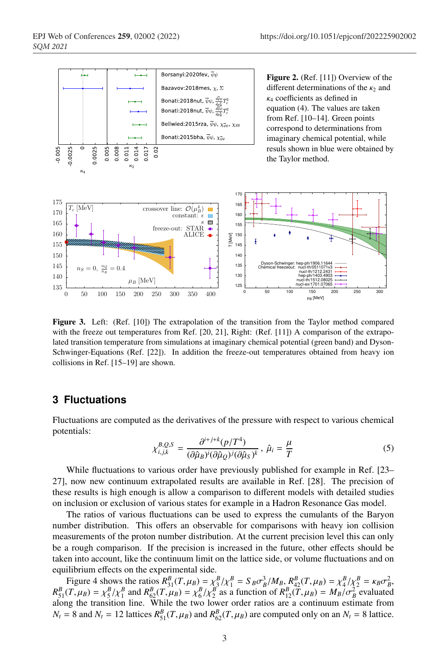

Figure 3. Left: (Ref. [10]) The extrapolation of the transition from the Taylor method compared with the freeze out temperatures from Ref. [20, 21], Right: (Ref. [11]) A comparison of the extrapolated transition temperature from simulations at imaginary chemical potential (green band) and Dyson-Schwinger-Equations (Ref. [22]). In addition the freeze-out temperatures obtained from heavy ion collisions in Ref. [15–19] are shown.

#### **3 Fluctuations**

Fluctuations are computed as the derivatives of the pressure with respect to various chemical potentials:

$$
\chi_{i,j,k}^{B,Q,S} = \frac{\partial^{i+j+k}(p/T^4)}{(\partial \hat{\mu}_B)^i (\partial \hat{\mu}_Q)^j (\partial \hat{\mu}_S)^k}, \ \hat{\mu}_i = \frac{\mu}{T}
$$
(5)

While fluctuations to various order have previously published for example in Ref. [23– 27], now new continuum extrapolated results are available in Ref. [28]. The precision of these results is high enough is allow a comparison to different models with detailed studies on inclusion or exclusion of various states for example in a Hadron Resonance Gas model.

The ratios of various fluctuations can be used to express the cumulants of the Baryon number distribution. This offers an observable for comparisons with heavy ion collision measurements of the proton number distribution. At the current precision level this can only be a rough comparison. If the precision is increased in the future, other effects should be taken into account, like the continuum limit on the lattice side, or volume fluctuations and on equilibrium effects on the experimental side.

Figure 4 shows the ratios  $R_{31}^B(T,\mu_B) = \frac{\chi_{31}^B}{\chi_{11}^B} = S_B \sigma_B^3 / M_B$ ,  $R_{42}^B(T,\mu_B) = \frac{\chi_{41}^B}{\chi_{21}^B} = \frac{\kappa_B \sigma_B^2}{\chi_{11}^B}$  $R_{51}^B(T,\mu_B) = \chi_5^B/\chi_1^B$  and  $R_{62}^B(T,\mu_B) = \chi_6^B/\chi_2^B$  as a function of  $R_{12}^B(T,\mu_B) = M_B/\sigma_B^2$  evaluated along the transition line. While the two lower order ratios are a continuum estimate from  $N_t = 8$  and  $N_t = 12$  lattices  $R_{51}^B(T, \mu_B)$  and  $R_{62}^B(T, \mu_B)$  are computed only on an  $N_t = 8$  lattice.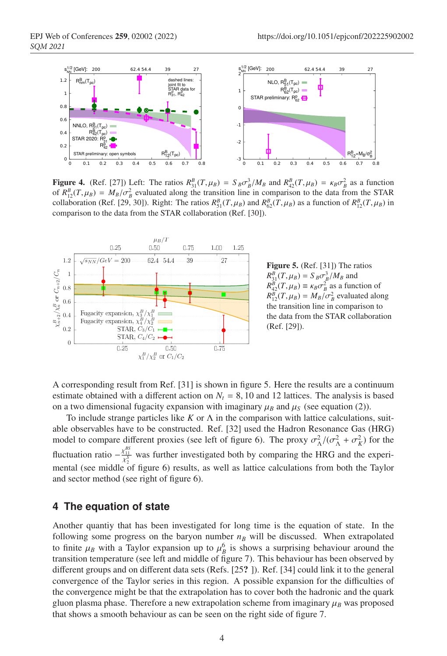

Figure 4. (Ref. [27]) Left: The ratios  $R_{31}^B(T,\mu_B) = S_B \sigma_B^3/M_B$  and  $R_{42}^B(T,\mu_B) = \kappa_B \sigma_B^2$  as a function of  $R_{12}^B(T,\mu_B) = M_B/\sigma_B^2$  evaluated along the transition line in comparison to the data from the STAR collaboration (Ref. [29, 30]). Right: The ratios  $R_{51}^B(T, \mu_B)$  and  $R_{62}^B(T, \mu_B)$  as a function of  $R_{12}^B(T, \mu_B)$  in comparison to the data from the STAR collaboration (Ref. [30]).



Figure 5. (Ref. [31]) The ratios  $R_{31}^{B}(T,\mu_B) = S_B \sigma_B^3/M_B$  and  $R_{42}^B(T,\mu_B) \equiv \kappa_B \sigma_B^2$  as a function of  $R_{12}^B(T,\mu_B) = M_B/\sigma_B^2$  evaluated along the transition line in comparison to the data from the STAR collaboration (Ref. [29]).

A corresponding result from Ref. [31] is shown in figure 5. Here the results are a continuum estimate obtained with a different action on  $N_t = 8$ , 10 and 12 lattices. The analysis is based on a two dimensional fugacity expansion with imaginary  $\mu_B$  and  $\mu_S$  (see equation (2)).

To include strange particles like *K* or Λ in the comparison with lattice calculations, suitable observables have to be constructed. Ref. [32] used the Hadron Resonance Gas (HRG) model to compare different proxies (see left of figure 6). The proxy  $\sigma_{\Lambda}^2/(\sigma_{\Lambda}^2 + \sigma_{K}^2)$  for the fluctuation ratio  $-\frac{\chi_{11}^{BS}}{\chi_2^S}$  was further investigated both by comparing the HRG and the experimental (see middle of figure 6) results, as well as lattice calculations from both the Taylor and sector method (see right of figure 6).

## **4 The equation of state**

Another quantiy that has been investigated for long time is the equation of state. In the following some progress on the baryon number  $n_B$  will be discussed. When extrapolated to finite  $\mu_B$  with a Taylor expansion up to  $\mu_B^6$  is shows a surprising behaviour around the transition temperature (see left and middle of figure 7). This behaviour has been observed by different groups and on different data sets (Refs. [25? ]). Ref. [34] could link it to the general convergence of the Taylor series in this region. A possible expansion for the difficulties of the convergence might be that the extrapolation has to cover both the hadronic and the quark gluon plasma phase. Therefore a new extrapolation scheme from imaginary  $\mu_B$  was proposed that shows a smooth behaviour as can be seen on the right side of figure 7.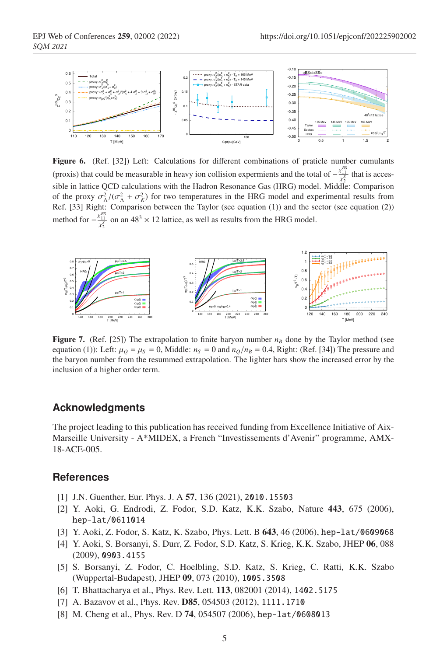

Figure 6. (Ref. [32]) Left: Calculations for different combinations of praticle number cumulants (proxis) that could be measurable in heavy ion collision expermients and the total of  $-\frac{\chi_{11}^{BS}}{\chi_2^S}$  that is accessible in lattice QCD calculations with the Hadron Resonance Gas (HRG) model. Middle: Comparison of the proxy  $\sigma_{\Lambda}^2/(\sigma_{\Lambda}^2 + \sigma_{K}^2)$  for two temperatures in the HRG model and experimental results from Ref. [33] Right: Comparison between the Taylor (see equation (1)) and the sector (see equation (2)) method for  $-\frac{\chi_{11}^{BS}}{\chi_2^S}$  on an 48<sup>3</sup> × 12 lattice, as well as results from the HRG model.



**Figure 7.** (Ref. [25]) The extrapolation to finite baryon number  $n<sub>B</sub>$  done by the Taylor method (see equation (1)): Left:  $\mu_Q = \mu_S = 0$ , Middle:  $n_S = 0$  and  $n_Q/n_B = 0.4$ , Right: (Ref. [34]) The pressure and the baryon number from the resummed extrapolation. The lighter bars show the increased error by the inclusion of a higher order term.

## **Acknowledgments**

The project leading to this publication has received funding from Excellence Initiative of Aix-Marseille University - A\*MIDEX, a French "Investissements d'Avenir" programme, AMX-18-ACE-005.

## **References**

- [1] J.N. Guenther, Eur. Phys. J. A 57, 136 (2021), 2010.15503
- [2] Y. Aoki, G. Endrodi, Z. Fodor, S.D. Katz, K.K. Szabo, Nature 443, 675 (2006), hep-lat/0611014
- [3] Y. Aoki, Z. Fodor, S. Katz, K. Szabo, Phys. Lett. B 643, 46 (2006), hep-lat/0609068
- [4] Y. Aoki, S. Borsanyi, S. Durr, Z. Fodor, S.D. Katz, S. Krieg, K.K. Szabo, JHEP 06, 088 (2009), 0903.4155
- [5] S. Borsanyi, Z. Fodor, C. Hoelbling, S.D. Katz, S. Krieg, C. Ratti, K.K. Szabo (Wuppertal-Budapest), JHEP 09, 073 (2010), 1005.3508
- [6] T. Bhattacharya et al., Phys. Rev. Lett. 113, 082001 (2014), 1402.5175
- [7] A. Bazavov et al., Phys. Rev. D85, 054503 (2012), 1111.1710
- [8] M. Cheng et al., Phys. Rev. D 74, 054507 (2006), hep-lat/0608013